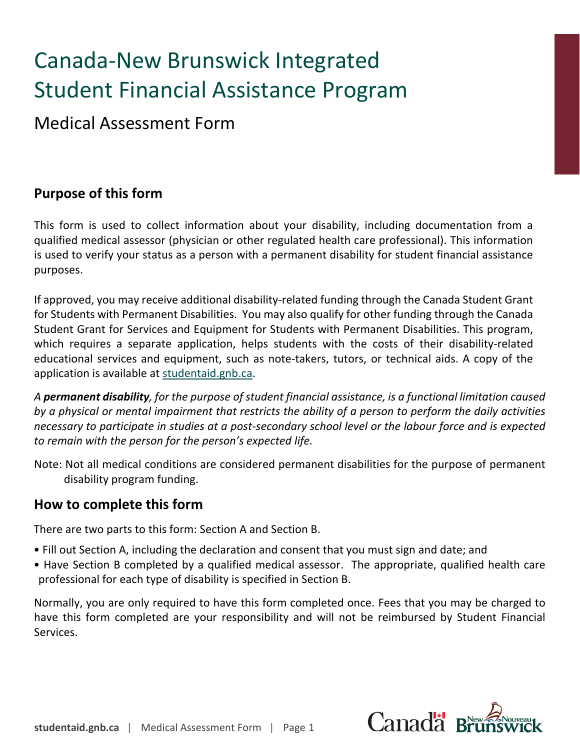# Canada-New Brunswick Integrated Student Financial Assistance Program

Medical Assessment Form

## **Purpose of this form**

This form is used to collect information about your disability, including documentation from a qualified medical assessor (physician or other regulated health care professional). This information is used to verify your status as a person with a permanent disability for student financial assistance purposes.

If approved, you may receive additional disability-related funding through the Canada Student Grant for Students with Permanent Disabilities. You may also qualify for other funding through the Canada Student Grant for Services and Equipment for Students with Permanent Disabilities. This program, which requires a separate application, helps students with the costs of their disability-related educational services and equipment, such as note-takers, tutors, or technical aids. A copy of the application is available at [studentaid.gnb.ca.](https://www2.gnb.ca/content/gnb/en/departments/post-secondary_education_training_and_labour/Skills/content/FinancialSupport/StudentFinancialServices.html)

*A permanent disability, for the purpose of student financial assistance, is a functional limitation caused by a physical or mental impairment that restricts the ability of a person to perform the daily activities necessary to participate in studies at a post-secondary school level or the labour force and is expected to remain with the person for the person's expected life.*

Note: Not all medical conditions are considered permanent disabilities for the purpose of permanent disability program funding.

## **How to complete this form**

There are two parts to this form: Section A and Section B.

- Fill out Section A, including the declaration and consent that you must sign and date; and
- Have Section B completed by a qualified medical assessor. The appropriate, qualified health care professional for each type of disability is specified in Section B.

Normally, you are only required to have this form completed once. Fees that you may be charged to have this form completed are your responsibility and will not be reimbursed by Student Financial Services.

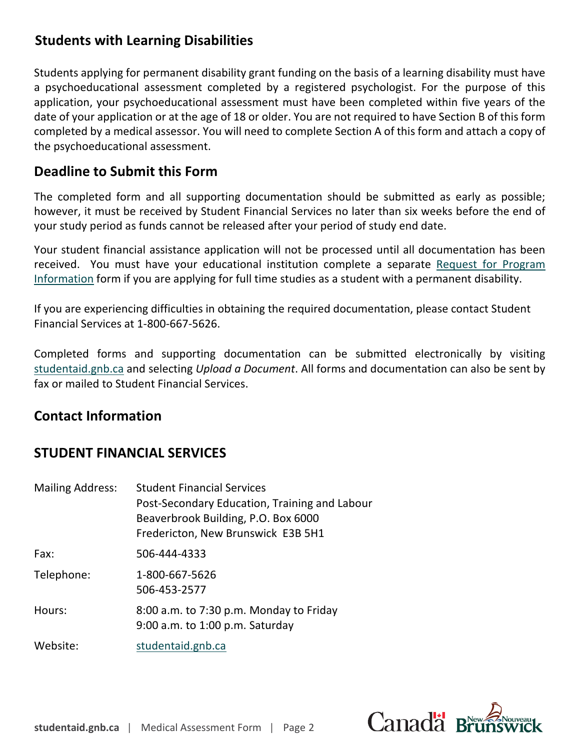## **Students with Learning Disabilities**

Students applying for permanent disability grant funding on the basis of a learning disability must have a psychoeducational assessment completed by a registered psychologist. For the purpose of this application, your psychoeducational assessment must have been completed within five years of the date of your application or at the age of 18 or older. You are not required to have Section B of this form completed by a medical assessor. You will need to complete Section A of this form and attach a copy of the psychoeducational assessment.

## **Deadline to Submit this Form**

The completed form and all supporting documentation should be submitted as early as possible; however, it must be received by Student Financial Services no later than six weeks before the end of your study period as funds cannot be released after your period of study end da[te.](https://www2.gnb.ca/content/dam/gnb/Departments/petl-epft/PDF/SFS/rpi-e.pdf) 

[Your student](https://www2.gnb.ca/content/dam/gnb/Departments/petl-epft/PDF/SFS/rpi-e.pdf) financial assistance application will not be processed until all documentation has been received. You must have your educational institution complete a separate Request for Program Information form if you are applying for full time studies as a student with a permanent disability.

If you are experiencing difficulties in obtaining the required documentation, please contact Student [Financial Services a](https://www2.gnb.ca/content/gnb/en/departments/post-secondary_education_training_and_labour/Skills/content/FinancialSupport/StudentFinancialServices.html)t 1-800-667-5626.

Completed forms and supporting documentation can be submitted electronically by visiting studentaid.gnb.ca and selecting *Upload a Document*. All forms and documentation can also be sent by fax or mailed to Student Financial Services.

### **Contact Information**

## **STUDENT FINANCIAL SERVICES**

| <b>Mailing Address:</b> | <b>Student Financial Services</b>             |  |
|-------------------------|-----------------------------------------------|--|
|                         | Post-Secondary Education, Training and Labour |  |
|                         | Beaverbrook Building, P.O. Box 6000           |  |
|                         | Fredericton, New Brunswick E3B 5H1            |  |
| Fax:                    | 506-444-4333                                  |  |
| Telephone:              | 1-800-667-5626                                |  |
|                         | 506-453-2577                                  |  |
| Hours:                  | 8:00 a.m. to 7:30 p.m. Monday to Friday       |  |
|                         | 9:00 a.m. to 1:00 p.m. Saturday               |  |
| Website:                | studentaid.gnb.ca                             |  |

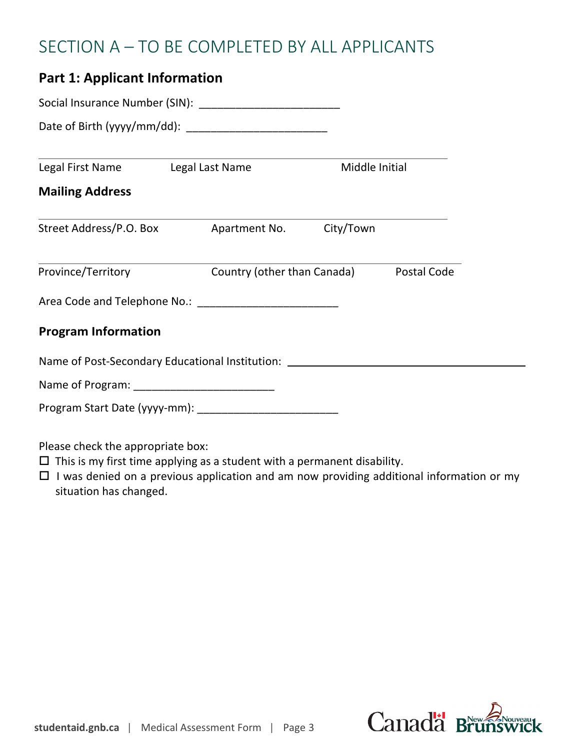## SECTION A – TO BE COMPLETED BY ALL APPLICANTS

## **Part 1: Applicant Information**

| Legal First Name<br>Legal Last Name |                                                                                  | Middle Initial |  |
|-------------------------------------|----------------------------------------------------------------------------------|----------------|--|
| <b>Mailing Address</b>              |                                                                                  |                |  |
|                                     |                                                                                  |                |  |
|                                     | Province/Territory <b>Country (other than Canada)</b> Postal Code                |                |  |
|                                     |                                                                                  |                |  |
| <b>Program Information</b>          |                                                                                  |                |  |
|                                     | Name of Post-Secondary Educational Institution: ________________________________ |                |  |
|                                     |                                                                                  |                |  |
|                                     |                                                                                  |                |  |
| Please check the appropriate box:   |                                                                                  |                |  |

- $\square$  This is my first time applying as a student with a permanent disability.
- $\Box$  I was denied on a previous application and am now providing additional information or my situation has changed.

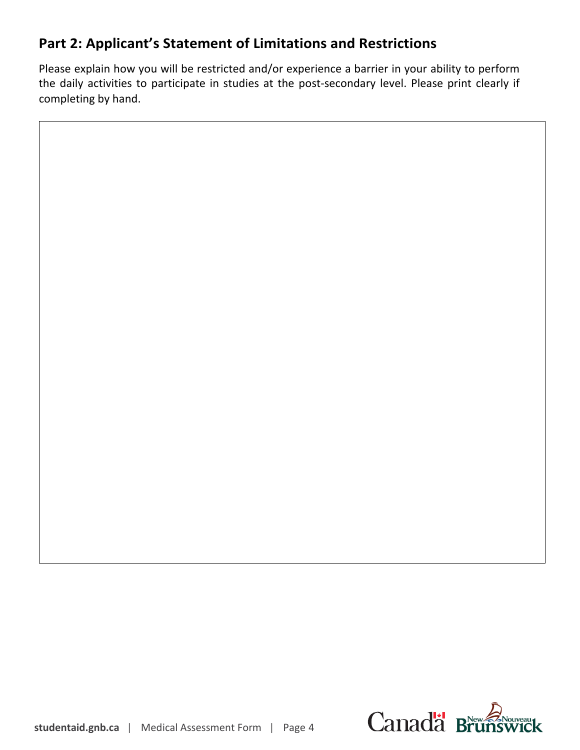## **Part 2: Applicant's Statement of Limitations and Restrictions**

Please explain how you will be restricted and/or experience a barrier in your ability to perform the daily activities to participate in studies at the post-secondary level. Please print clearly if completing by hand.

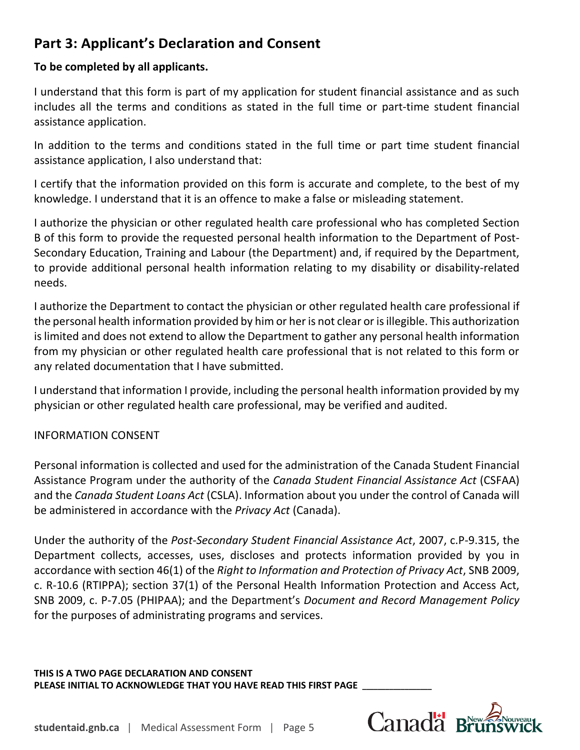## **Part 3: Applicant's Declaration and Consent**

#### **To be completed by all applicants.**

I understand that this form is part of my application for student financial assistance and as such includes all the terms and conditions as stated in the full time or part-time student financial assistance application.

In addition to the terms and conditions stated in the full time or part time student financial assistance application, I also understand that:

I certify that the information provided on this form is accurate and complete, to the best of my knowledge. I understand that it is an offence to make a false or misleading statement.

I authorize the physician or other regulated health care professional who has completed Section B of this form to provide the requested personal health information to the Department of Post-Secondary Education, Training and Labour (the Department) and, if required by the Department, to provide additional personal health information relating to my disability or disability-related needs.

I authorize the Department to contact the physician or other regulated health care professional if the personal health information provided by him or her is not clear or is illegible. This authorization is limited and does not extend to allow the Department to gather any personal health information from my physician or other regulated health care professional that is not related to this form or any related documentation that I have submitted.

I understand that information I provide, including the personal health information provided by my physician or other regulated health care professional, may be verified and audited.

#### INFORMATION CONSENT

Personal information is collected and used for the administration of the Canada Student Financial Assistance Program under the authority of the *Canada Student Financial Assistance Act* (CSFAA) and the *Canada Student Loans Act* (CSLA). Information about you under the control of Canada will be administered in accordance with the *Privacy Act* (Canada).

Under the authority of the *Post-Secondary Student Financial Assistance Act*, 2007, c.P-9.315, the Department collects, accesses, uses, discloses and protects information provided by you in accordance with section 46(1) of the *Right to Information and Protection of Privacy Act*, SNB 2009, c. R-10.6 (RTIPPA); section 37(1) of the Personal Health Information Protection and Access Act, SNB 2009, c. P-7.05 (PHIPAA); and the Department's *Document and Record Management Policy* for the purposes of administrating programs and services.

**THIS IS A TWO PAGE DECLARATION AND CONSENT PLEASE INITIAL TO ACKNOWLEDGE THAT YOU HAVE READ THIS FIRST PAGE \_\_\_\_\_\_\_\_\_\_\_\_\_\_\_\_\_\_**

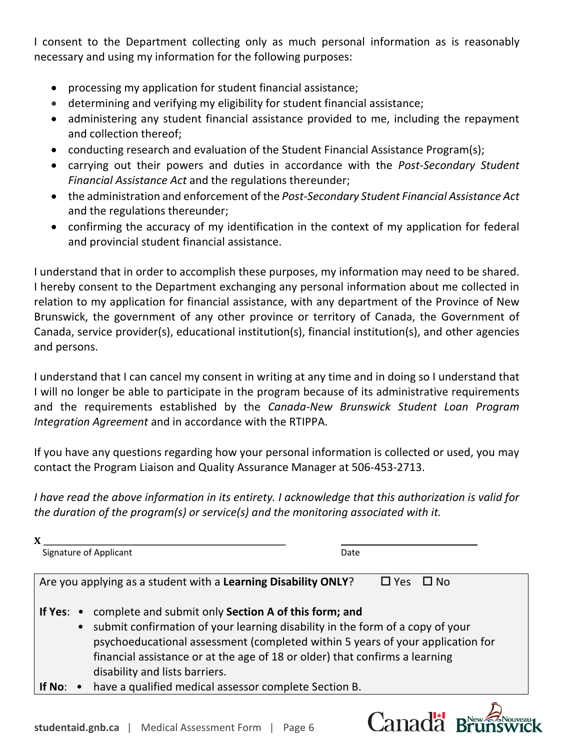I consent to the Department collecting only as much personal information as is reasonably necessary and using my information for the following purposes:

- processing my application for student financial assistance;
- determining and verifying my eligibility for student financial assistance;
- administering any student financial assistance provided to me, including the repayment and collection thereof;
- conducting research and evaluation of the Student Financial Assistance Program(s);
- carrying out their powers and duties in accordance with the *Post-Secondary Student Financial Assistance Act* and the regulations thereunder;
- the administration and enforcement of the *Post-Secondary Student Financial Assistance Act* and the regulations thereunder;
- confirming the accuracy of my identification in the context of my application for federal and provincial student financial assistance.

I understand that in order to accomplish these purposes, my information may need to be shared. I hereby consent to the Department exchanging any personal information about me collected in relation to my application for financial assistance, with any department of the Province of New Brunswick, the government of any other province or territory of Canada, the Government of Canada, service provider(s), educational institution(s), financial institution(s), and other agencies and persons.

I understand that I can cancel my consent in writing at any time and in doing so I understand that I will no longer be able to participate in the program because of its administrative requirements and the requirements established by the *Canada-New Brunswick Student Loan Program Integration Agreement* and in accordance with the RTIPPA.

If you have any questions regarding how your personal information is collected or used, you may contact the Program Liaison and Quality Assurance Manager at 506-453-2713.

*I have read the above information in its entirety. I acknowledge that this authorization is valid for the duration of the program(s) or service(s) and the monitoring associated with it.*

| Signature of Applicant                                                                                                                                                                                                                                                                                                                               |                                                                | Date                 |
|------------------------------------------------------------------------------------------------------------------------------------------------------------------------------------------------------------------------------------------------------------------------------------------------------------------------------------------------------|----------------------------------------------------------------|----------------------|
|                                                                                                                                                                                                                                                                                                                                                      | Are you applying as a student with a Learning Disability ONLY? | $\Box$ Yes $\Box$ No |
| If Yes: • complete and submit only Section A of this form; and<br>• submit confirmation of your learning disability in the form of a copy of your<br>psychoeducational assessment (completed within 5 years of your application for<br>financial assistance or at the age of 18 or older) that confirms a learning<br>disability and lists barriers. |                                                                |                      |
| If No:                                                                                                                                                                                                                                                                                                                                               | have a qualified medical assessor complete Section B.          |                      |

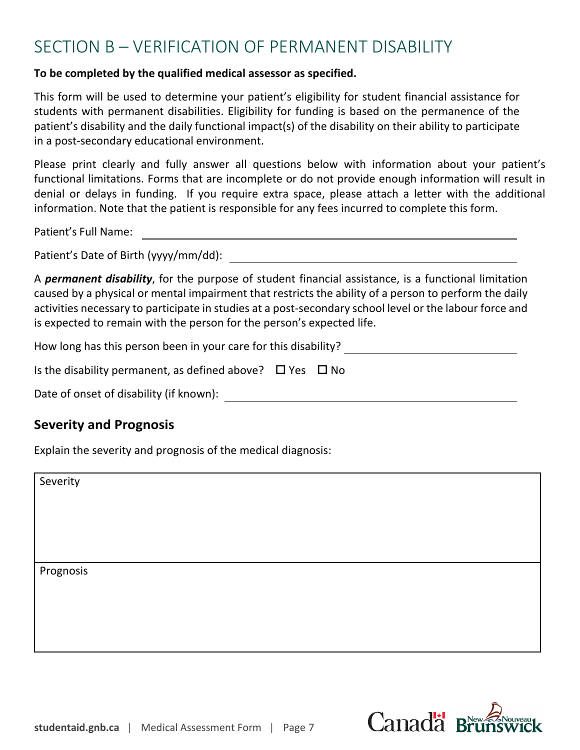## SECTION B – VERIFICATION OF PERMANENT DISABILITY

#### **To be completed by the qualified medical assessor as specified.**

This form will be used to determine your patient's eligibility for student financial assistance for students with permanent disabilities. Eligibility for funding is based on the permanence of the patient's disability and the daily functional impact(s) of the disability on their ability to participate in a post-secondary educational environment.

Please print clearly and fully answer all questions below with information about your patient's functional limitations. Forms that are incomplete or do not provide enough information will result in denial or delays in funding. If you require extra space, please attach a letter with the additional information. Note that the patient is responsible for any fees incurred to complete this form.

Patient's Full Name:

Patient's Date of Birth (yyyy/mm/dd):

A *permanent disability*, for the purpose of student financial assistance, is a functional limitation caused by a physical or mental impairment that restricts the ability of a person to perform the daily activities necessary to participate in studies at a post-secondary school level or the labour force and is expected to remain with the person for the person's expected life.

How long has this person been in your care for this disability?

Is the disability permanent, as defined above?  $\Box$  Yes  $\Box$  No

Date of onset of disability (if known):

#### **Severity and Prognosis**

Explain the severity and prognosis of the medical diagnosis:

Severity

Prognosis

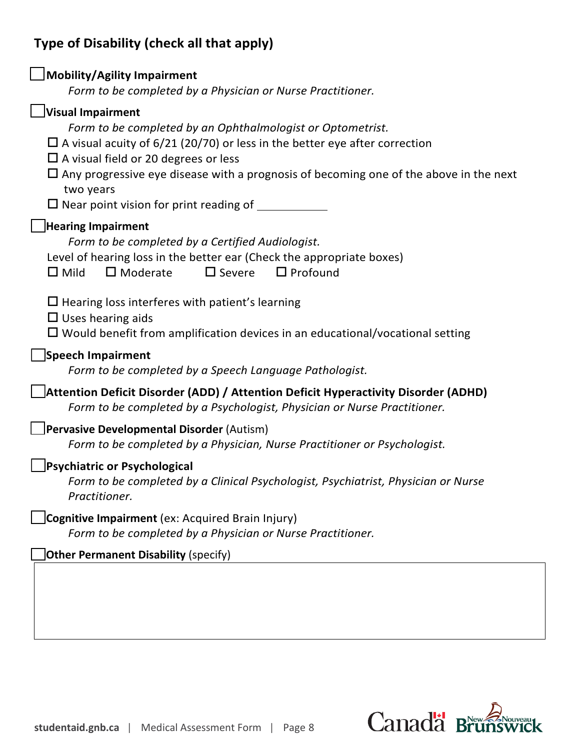## **Type of Disability (check all that apply)**

| Mobility/Agility Impairment                                                                                                                                                                                                                                                                                                                                                                 |
|---------------------------------------------------------------------------------------------------------------------------------------------------------------------------------------------------------------------------------------------------------------------------------------------------------------------------------------------------------------------------------------------|
| Form to be completed by a Physician or Nurse Practitioner.                                                                                                                                                                                                                                                                                                                                  |
| Visual Impairment<br>Form to be completed by an Ophthalmologist or Optometrist.<br>$\Box$ A visual acuity of 6/21 (20/70) or less in the better eye after correction<br>$\Box$ A visual field or 20 degrees or less<br>$\Box$ Any progressive eye disease with a prognosis of becoming one of the above in the next<br>two years<br>$\square$ Near point vision for print reading of $\_\_$ |
| <b>Hearing Impairment</b><br>Form to be completed by a Certified Audiologist.<br>Level of hearing loss in the better ear (Check the appropriate boxes)<br>$\Box$ Profound<br>$\Box$ Mild<br>$\square$ Moderate<br>$\Box$ Severe                                                                                                                                                             |
| $\Box$ Hearing loss interferes with patient's learning<br>$\Box$ Uses hearing aids<br>$\Box$ Would benefit from amplification devices in an educational/vocational setting                                                                                                                                                                                                                  |
| Speech Impairment<br>Form to be completed by a Speech Language Pathologist.                                                                                                                                                                                                                                                                                                                 |
| Attention Deficit Disorder (ADD) / Attention Deficit Hyperactivity Disorder (ADHD)<br>Form to be completed by a Psychologist, Physician or Nurse Practitioner.                                                                                                                                                                                                                              |
| Pervasive Developmental Disorder (Autism)<br>Form to be completed by a Physician, Nurse Practitioner or Psychologist.                                                                                                                                                                                                                                                                       |
| Psychiatric or Psychological<br>Form to be completed by a Clinical Psychologist, Psychiatrist, Physician or Nurse<br>Practitioner.                                                                                                                                                                                                                                                          |
| Cognitive Impairment (ex: Acquired Brain Injury)<br>Form to be completed by a Physician or Nurse Practitioner.                                                                                                                                                                                                                                                                              |
| <b>Other Permanent Disability (specify)</b>                                                                                                                                                                                                                                                                                                                                                 |
|                                                                                                                                                                                                                                                                                                                                                                                             |

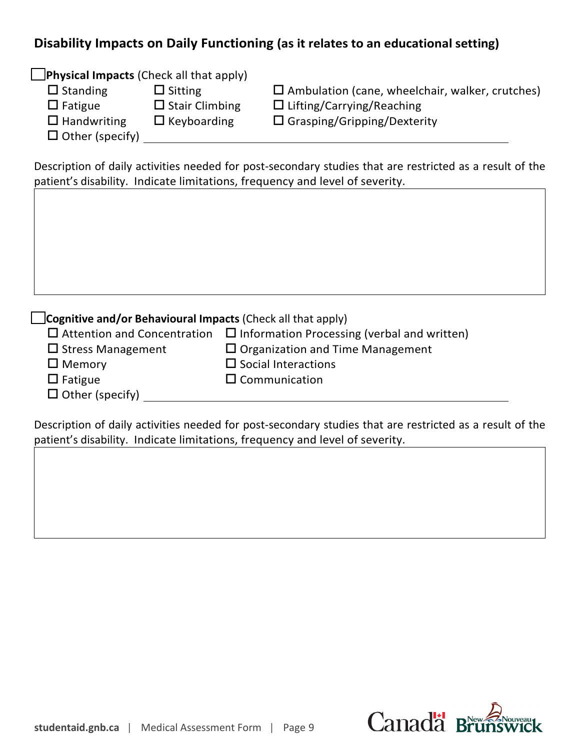## **Disability Impacts on Daily Functioning (as it relates to an educational setting)**

**Physical Impacts** (Check all that apply)

- 
- 
- 
- 
- $\Box$  Other (specify)

 $\square$  Standing  $\square$  Sitting  $\square$  Ambulation (cane, wheelchair, walker, crutches)  $\square$  Fatigue  $\square$  Stair Climbing  $\square$  Lifting/Carrying/Reaching  $\Box$  Handwriting  $\Box$  Keyboarding  $\Box$  Grasping/Gripping/Dexterity

Description of daily activities needed for post-secondary studies that are restricted as a result of the patient's disability. Indicate limitations, frequency and level of severity.

#### **Cognitive and/or Behavioural Impacts** (Check all that apply)

|                          | $\Box$ Attention and Concentration $\Box$ Information Processing (verbal and written) |
|--------------------------|---------------------------------------------------------------------------------------|
| $\Box$ Stress Management | $\Box$ Organization and Time Management                                               |
| $\Box$ Memory            | $\Box$ Social Interactions                                                            |

- $\square$  Fatigue  $\square$  Communication
- $\Box$  Other (specify)

Description of daily activities needed for post-secondary studies that are restricted as a result of the patient's disability. Indicate limitations, frequency and level of severity.

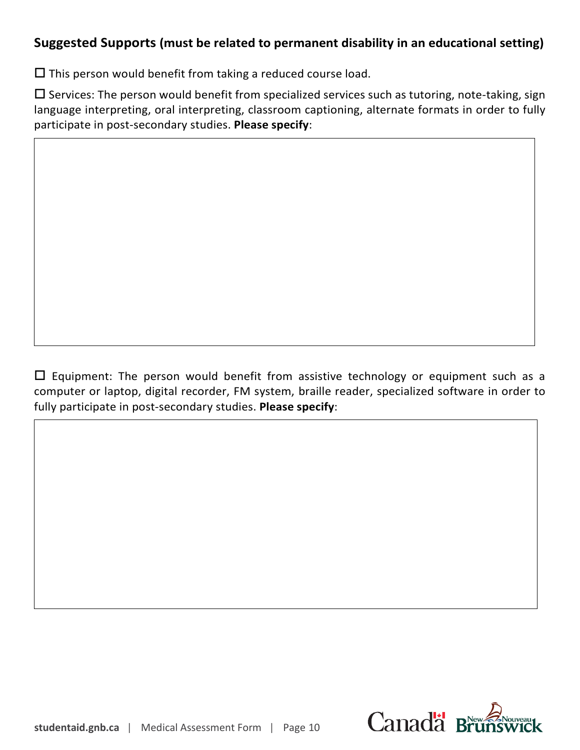## **Suggested Supports (must be related to permanent disability in an educational setting)**

 $\square$  This person would benefit from taking a reduced course load.

 $\square$  Services: The person would benefit from specialized services such as tutoring, note-taking, sign language interpreting, oral interpreting, classroom captioning, alternate formats in order to fully participate in post-secondary studies. **Please specify**:

 $\Box$  Equipment: The person would benefit from assistive technology or equipment such as a computer or laptop, digital recorder, FM system, braille reader, specialized software in order to fully participate in post-secondary studies. **Please specify**: